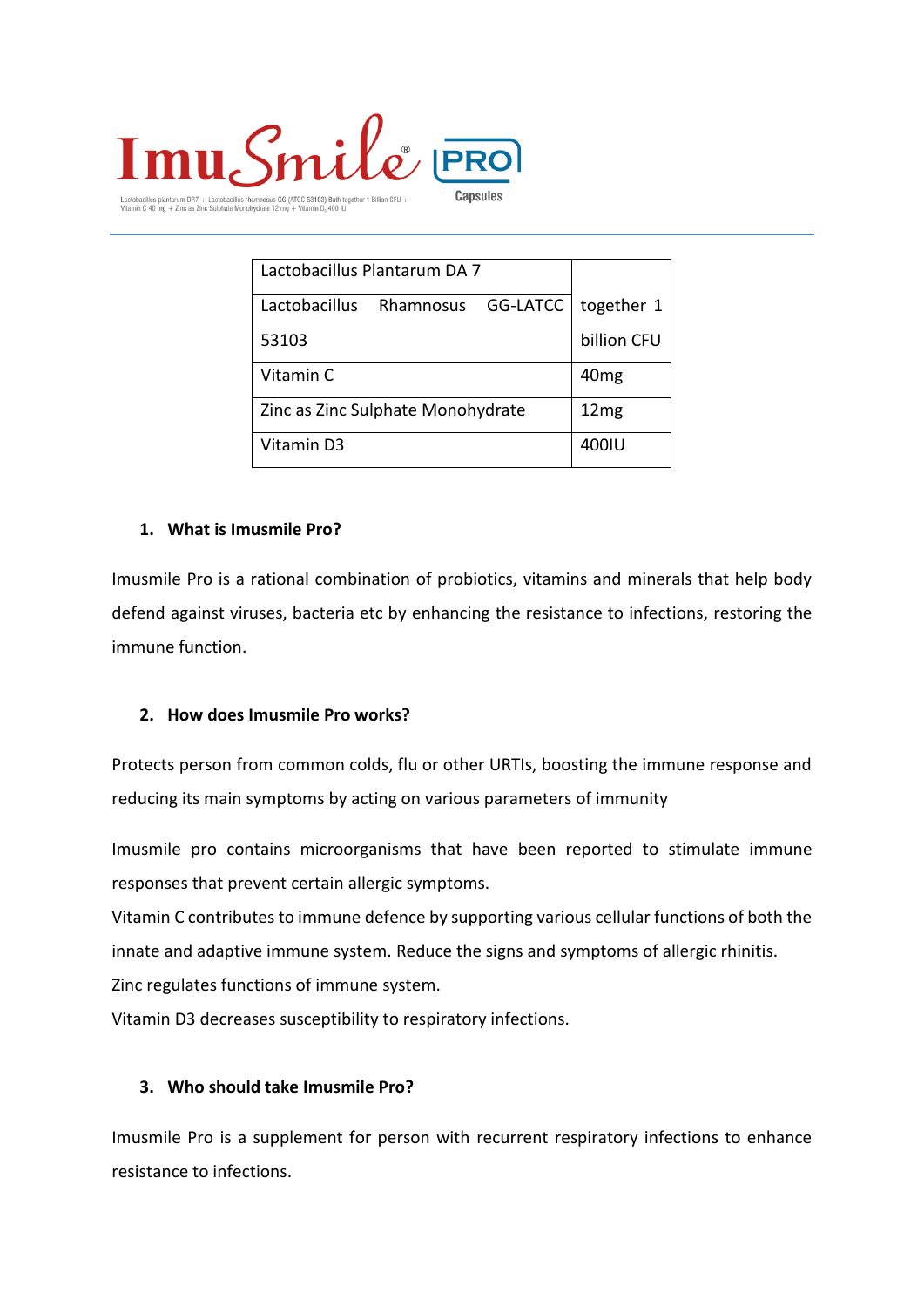

actobacillus plantarum DR7 + Lactobacillus rhamnosus GG (ATCC 53103) Both together 1 Billion CFU +<br>'itamin C 40 mg + Zinc as Zinc Sulphate Monohydrate 12 mg + Vitamin D, 400 IU

| Lactobacillus Plantarum DA 7           |                  |
|----------------------------------------|------------------|
| GG-LATCC<br>Lactobacillus<br>Rhamnosus | together 1       |
| 53103                                  | billion CFU      |
| Vitamin C                              | 40 <sub>mg</sub> |
| Zinc as Zinc Sulphate Monohydrate      | 12mg             |
| Vitamin D3                             | 400IU            |

#### **1. What is Imusmile Pro?**

Imusmile Pro is a rational combination of probiotics, vitamins and minerals that help body defend against viruses, bacteria etc by enhancing the resistance to infections, restoring the immune function.

#### **2. How does Imusmile Pro works?**

Protects person from common colds, flu or other URTIs, boosting the immune response and reducing its main symptoms by acting on various parameters of immunity

Imusmile pro contains microorganisms that have been reported to stimulate immune responses that prevent certain allergic symptoms.

Vitamin C contributes to immune defence by supporting various cellular functions of both the innate and adaptive immune system. Reduce the signs and symptoms of allergic rhinitis.

Zinc regulates functions of immune system.

Vitamin D3 decreases susceptibility to respiratory infections.

#### **3. Who should take Imusmile Pro?**

Imusmile Pro is a supplement for person with recurrent respiratory infections to enhance resistance to infections.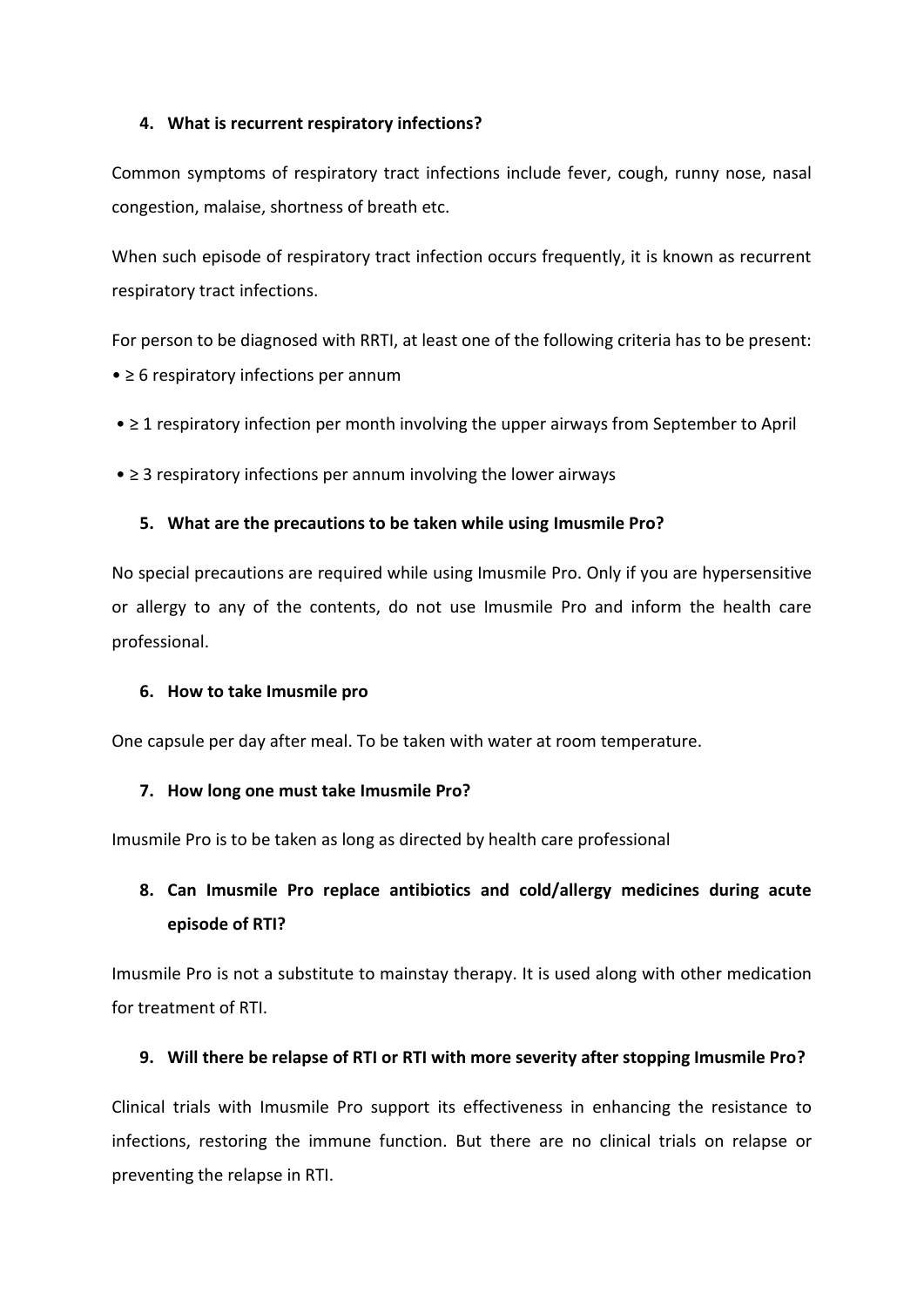## **4. What is recurrent respiratory infections?**

Common symptoms of respiratory tract infections include fever, cough, runny nose, nasal congestion, malaise, shortness of breath etc.

When such episode of respiratory tract infection occurs frequently, it is known as recurrent respiratory tract infections.

For person to be diagnosed with RRTI, at least one of the following criteria has to be present: • ≥ 6 respiratory infections per annum

- ≥ 1 respiratory infection per month involving the upper airways from September to April
- ≥ 3 respiratory infections per annum involving the lower airways

## **5. What are the precautions to be taken while using Imusmile Pro?**

No special precautions are required while using Imusmile Pro. Only if you are hypersensitive or allergy to any of the contents, do not use Imusmile Pro and inform the health care professional.

#### **6. How to take Imusmile pro**

One capsule per day after meal. To be taken with water at room temperature.

#### **7. How long one must take Imusmile Pro?**

Imusmile Pro is to be taken as long as directed by health care professional

# **8. Can Imusmile Pro replace antibiotics and cold/allergy medicines during acute episode of RTI?**

Imusmile Pro is not a substitute to mainstay therapy. It is used along with other medication for treatment of RTI.

# **9. Will there be relapse of RTI or RTI with more severity after stopping Imusmile Pro?**

Clinical trials with Imusmile Pro support its effectiveness in enhancing the resistance to infections, restoring the immune function. But there are no clinical trials on relapse or preventing the relapse in RTI.